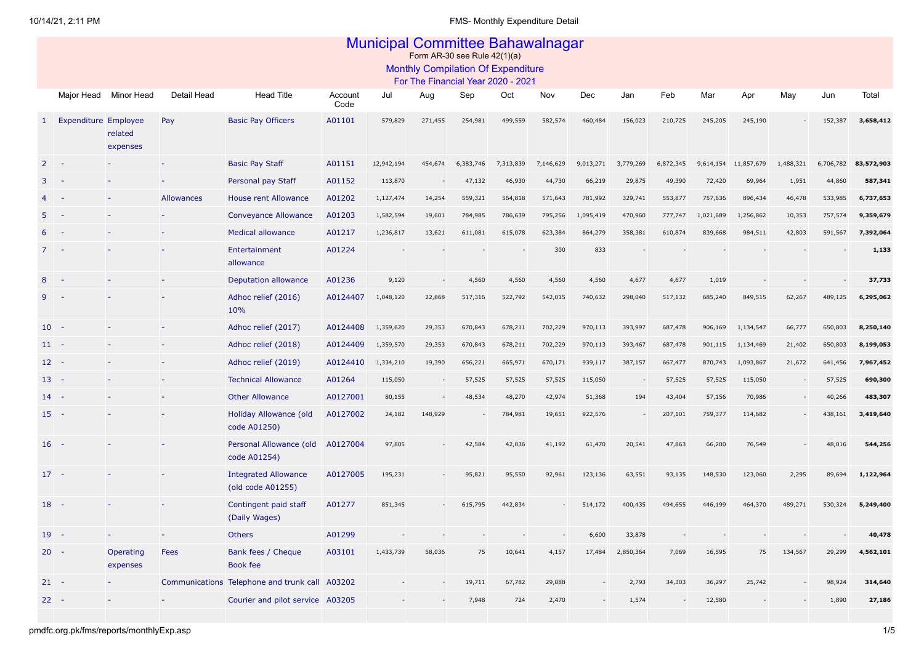|    | <b>Municipal Committee Bahawalnagar</b><br>Form AR-30 see Rule $42(1)(a)$ |                       |                          |                                                  |                 |            |         |           |           |           |           |           |           |           |                      |           |           |            |
|----|---------------------------------------------------------------------------|-----------------------|--------------------------|--------------------------------------------------|-----------------|------------|---------|-----------|-----------|-----------|-----------|-----------|-----------|-----------|----------------------|-----------|-----------|------------|
|    | <b>Monthly Compilation Of Expenditure</b>                                 |                       |                          |                                                  |                 |            |         |           |           |           |           |           |           |           |                      |           |           |            |
|    | For The Financial Year 2020 - 2021                                        |                       |                          |                                                  |                 |            |         |           |           |           |           |           |           |           |                      |           |           |            |
|    | Major Head                                                                | Minor Head            | Detail Head              | <b>Head Title</b>                                | Account<br>Code | Jul        | Aug     | Sep       | Oct       | Nov       | Dec       | Jan       | Feb       | Mar       | Apr                  | May       | Jun       | Total      |
| 1  | <b>Expenditure Employee</b>                                               | related<br>expenses   | Pay                      | <b>Basic Pay Officers</b>                        | A01101          | 579,829    | 271,455 | 254,981   | 499,559   | 582,574   | 460,484   | 156,023   | 210,725   | 245,205   | 245,190              |           | 152,387   | 3,658,412  |
| 2  | $\overline{\phantom{a}}$                                                  |                       |                          | <b>Basic Pay Staff</b>                           | A01151          | 12,942,194 | 454,674 | 6,383,746 | 7,313,839 | 7,146,629 | 9,013,271 | 3,779,269 | 6,872,345 |           | 9,614,154 11,857,679 | 1,488,321 | 6,706,782 | 83,572,903 |
|    |                                                                           |                       |                          | Personal pay Staff                               | A01152          | 113,870    |         | 47,132    | 46,930    | 44,730    | 66,219    | 29,875    | 49,390    | 72,420    | 69,964               | 1,951     | 44,860    | 587,341    |
|    |                                                                           |                       | <b>Allowances</b>        | <b>House rent Allowance</b>                      | A01202          | 1,127,474  | 14,254  | 559,321   | 564,818   | 571,643   | 781,992   | 329,741   | 553,877   | 757,636   | 896,434              | 46,478    | 533,985   | 6,737,653  |
|    |                                                                           |                       |                          | Conveyance Allowance                             | A01203          | 1,582,594  | 19,601  | 784,985   | 786,639   | 795,256   | 1,095,419 | 470,960   | 777,747   | 1,021,689 | 1,256,862            | 10,353    | 757,574   | 9,359,679  |
|    |                                                                           |                       |                          | <b>Medical allowance</b>                         | A01217          | 1,236,817  | 13,621  | 611,081   | 615,078   | 623,384   | 864,279   | 358,381   | 610,874   | 839,668   | 984,511              | 42,803    | 591,567   | 7,392,064  |
|    |                                                                           |                       |                          | Entertainment<br>allowance                       | A01224          |            |         |           |           | 300       | 833       |           |           |           |                      |           |           | 1,133      |
|    |                                                                           |                       |                          | <b>Deputation allowance</b>                      | A01236          | 9,120      |         | 4,560     | 4,560     | 4,560     | 4,560     | 4,677     | 4,677     | 1,019     |                      |           |           | 37,733     |
|    |                                                                           |                       |                          | Adhoc relief (2016)<br>10%                       | A0124407        | 1,048,120  | 22,868  | 517,316   | 522,792   | 542,015   | 740,632   | 298,040   | 517,132   | 685,240   | 849,515              | 62,267    | 489,125   | 6,295,062  |
|    | $10 -$                                                                    |                       |                          | Adhoc relief (2017)                              | A0124408        | 1,359,620  | 29,353  | 670,843   | 678,211   | 702,229   | 970,113   | 393,997   | 687,478   | 906,169   | 1,134,547            | 66,777    | 650,803   | 8,250,140  |
|    | $11 -$                                                                    |                       |                          | Adhoc relief (2018)                              | A0124409        | 1,359,570  | 29,353  | 670,843   | 678,211   | 702,229   | 970,113   | 393,467   | 687,478   | 901,115   | 1,134,469            | 21,402    | 650,803   | 8,199,053  |
|    | $12 -$                                                                    |                       |                          | Adhoc relief (2019)                              | A0124410        | 1,334,210  | 19,390  | 656,221   | 665,971   | 670,171   | 939,117   | 387,157   | 667,477   | 870,743   | 1,093,867            | 21,672    | 641,456   | 7,967,452  |
| 13 | $\sim$ $-$                                                                |                       |                          | <b>Technical Allowance</b>                       | A01264          | 115,050    |         | 57,525    | 57,525    | 57,525    | 115,050   |           | 57,525    | 57,525    | 115,050              |           | 57,525    | 690,300    |
| 14 | - 1                                                                       |                       |                          | <b>Other Allowance</b>                           | A0127001        | 80,155     |         | 48,534    | 48,270    | 42,974    | 51,368    | 194       | 43,404    | 57,156    | 70,986               |           | 40,266    | 483,307    |
|    | $15 -$                                                                    |                       |                          | Holiday Allowance (old<br>code A01250)           | A0127002        | 24,182     | 148,929 |           | 784,981   | 19,651    | 922,576   |           | 207,101   | 759,377   | 114,682              |           | 438,161   | 3,419,640  |
| 16 | - 14                                                                      |                       |                          | Personal Allowance (old<br>code A01254)          | A0127004        | 97,805     |         | 42,584    | 42,036    | 41,192    | 61,470    | 20,541    | 47,863    | 66,200    | 76,549               |           | 48,016    | 544,256    |
|    | $17 -$                                                                    |                       |                          | <b>Integrated Allowance</b><br>(old code A01255) | A0127005        | 195,231    |         | 95,821    | 95,550    | 92,961    | 123,136   | 63,551    | 93,135    | 148,530   | 123,060              | 2,295     | 89,694    | 1,122,964  |
| 18 | $\sim$ $-$                                                                |                       |                          | Contingent paid staff<br>(Daily Wages)           | A01277          | 851,345    |         | 615,795   | 442,834   |           | 514,172   | 400,435   | 494,655   | 446,199   | 464,370              | 489,271   | 530,324   | 5,249,400  |
| 19 | $\sim$ $-$                                                                |                       | $\overline{\phantom{a}}$ | <b>Others</b>                                    | A01299          |            |         |           |           |           | 6,600     | 33,878    |           |           |                      |           |           | 40,478     |
|    | $20 -$                                                                    | Operating<br>expenses | Fees                     | Bank fees / Cheque<br>Book fee                   | A03101          | 1,433,739  | 58,036  | 75        | 10,641    | 4,157     | 17,484    | 2,850,364 | 7,069     | 16,595    | 75                   | 134,567   | 29,299    | 4,562,101  |
|    | $21 -$                                                                    |                       |                          | Communications Telephone and trunk call A03202   |                 |            |         | 19,711    | 67,782    | 29,088    |           | 2,793     | 34,303    | 36,297    | 25,742               |           | 98,924    | 314,640    |
|    | $22 - -$                                                                  |                       |                          | Courier and pilot service A03205                 |                 |            |         | 7,948     | 724       | 2,470     |           | 1,574     |           | 12,580    |                      |           | 1,890     | 27,186     |
|    |                                                                           |                       |                          |                                                  |                 |            |         |           |           |           |           |           |           |           |                      |           |           |            |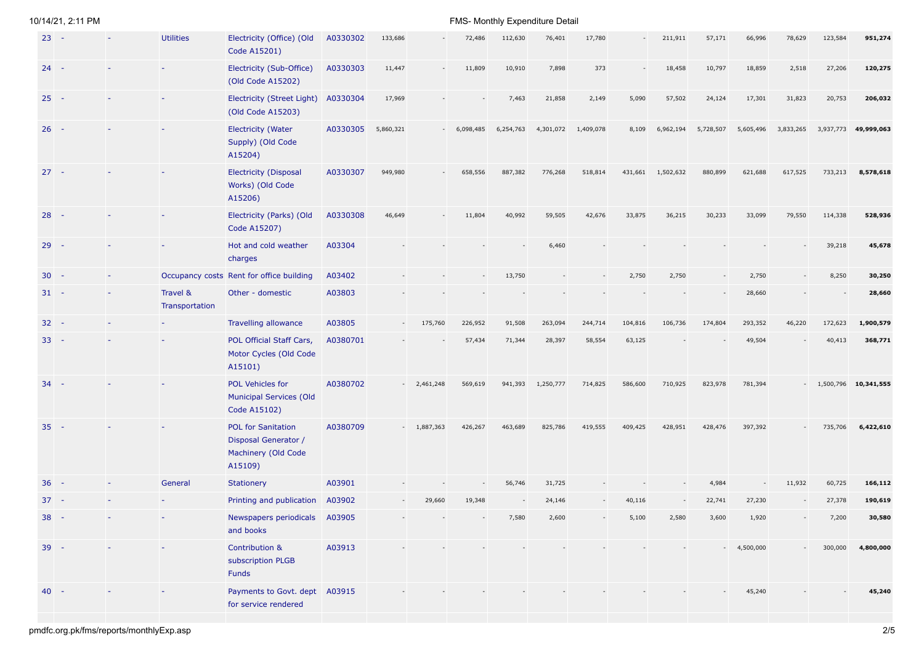|        | $23 -$ | <b>Utilities</b>           | Electricity (Office) (Old<br>Code A15201)                                           | A0330302 | 133,686   |           | 72,486       | 112,630   | 76,401    | 17,780    |         | 211,911   | 57,171    | 66,996       | 78,629    | 123,584 | 951,274              |
|--------|--------|----------------------------|-------------------------------------------------------------------------------------|----------|-----------|-----------|--------------|-----------|-----------|-----------|---------|-----------|-----------|--------------|-----------|---------|----------------------|
|        | $24 -$ |                            | Electricity (Sub-Office)<br>(Old Code A15202)                                       | A0330303 | 11,447    |           | 11,809       | 10,910    | 7,898     | 373       |         | 18,458    | 10,797    | 18,859       | 2,518     | 27,206  | 120,275              |
|        | $25 -$ |                            | <b>Electricity (Street Light)</b><br>(Old Code A15203)                              | A0330304 | 17,969    |           |              | 7,463     | 21,858    | 2,149     | 5,090   | 57,502    | 24,124    | 17,301       | 31,823    | 20,753  | 206,032              |
|        | $26 -$ |                            | <b>Electricity (Water</b><br>Supply) (Old Code<br>A15204)                           | A0330305 | 5,860,321 |           | $-6,098,485$ | 6,254,763 | 4,301,072 | 1,409,078 | 8,109   | 6,962,194 | 5,728,507 | 5,605,496    | 3,833,265 |         | 3,937,773 49,999,063 |
|        | $27 -$ |                            | <b>Electricity (Disposal</b><br>Works) (Old Code<br>A15206)                         | A0330307 | 949,980   |           | 658,556      | 887,382   | 776,268   | 518,814   | 431,661 | 1,502,632 | 880,899   | 621,688      | 617,525   | 733,213 | 8,578,618            |
|        | $28 -$ |                            | Electricity (Parks) (Old<br>Code A15207)                                            | A0330308 | 46,649    |           | 11,804       | 40,992    | 59,505    | 42,676    | 33,875  | 36,215    | 30,233    | 33,099       | 79,550    | 114,338 | 528,936              |
|        | $29 -$ |                            | Hot and cold weather<br>charges                                                     | A03304   |           |           |              |           | 6,460     |           |         |           |           |              |           | 39,218  | 45,678               |
|        | $30 -$ |                            | Occupancy costs Rent for office building                                            | A03402   |           |           |              | 13,750    |           |           | 2,750   | 2,750     |           | 2,750        |           | 8,250   | 30,250               |
|        | $31 -$ | Travel &<br>Transportation | Other - domestic                                                                    | A03803   |           |           |              |           |           |           |         |           |           | 28,660       |           |         | 28,660               |
|        | $32 -$ |                            | Travelling allowance                                                                | A03805   |           | 175,760   | 226,952      | 91,508    | 263,094   | 244,714   | 104,816 | 106,736   | 174,804   | 293,352      | 46,220    | 172,623 | 1,900,579            |
|        | $33 -$ |                            | POL Official Staff Cars,<br>Motor Cycles (Old Code<br>A15101)                       | A0380701 |           |           | 57,434       | 71,344    | 28,397    | 58,554    | 63,125  |           |           | 49,504       |           | 40,413  | 368,771              |
|        | $34 -$ |                            | POL Vehicles for<br><b>Municipal Services (Old</b><br><b>Code A15102)</b>           | A0380702 | $\sim$    | 2,461,248 | 569,619      | 941,393   | 1,250,777 | 714,825   | 586,600 | 710,925   | 823,978   | 781,394      |           |         | 1,500,796 10,341,555 |
|        | $35 -$ |                            | <b>POL for Sanitation</b><br>Disposal Generator /<br>Machinery (Old Code<br>A15109) | A0380709 |           | 1,887,363 | 426,267      | 463,689   | 825,786   | 419,555   | 409,425 | 428,951   | 428,476   | 397,392      |           | 735,706 | 6,422,610            |
|        | $36 -$ | General                    | <b>Stationery</b>                                                                   | A03901   |           |           |              | 56,746    | 31,725    |           |         |           | 4,984     |              | 11,932    | 60,725  | 166,112              |
|        | $37 -$ |                            | Printing and publication                                                            | A03902   |           | 29,660    | 19,348       |           | 24,146    |           | 40,116  |           | 22,741    | 27,230       |           | 27,378  | 190,619              |
|        | $38 -$ |                            | Newspapers periodicals A03905<br>and books                                          |          |           | $\sim$    |              | 7,580     | 2,600     |           | 5,100   | 2,580     | 3,600     | 1,920        |           | 7,200   | 30,580               |
|        | $39 -$ |                            | Contribution &<br>subscription PLGB<br>Funds                                        | A03913   |           |           |              |           |           |           |         |           |           | $-4,500,000$ |           | 300,000 | 4,800,000            |
| $40 -$ |        |                            | Payments to Govt. dept A03915<br>for service rendered                               |          |           |           |              |           |           |           |         |           |           | 45,240       |           |         | 45,240               |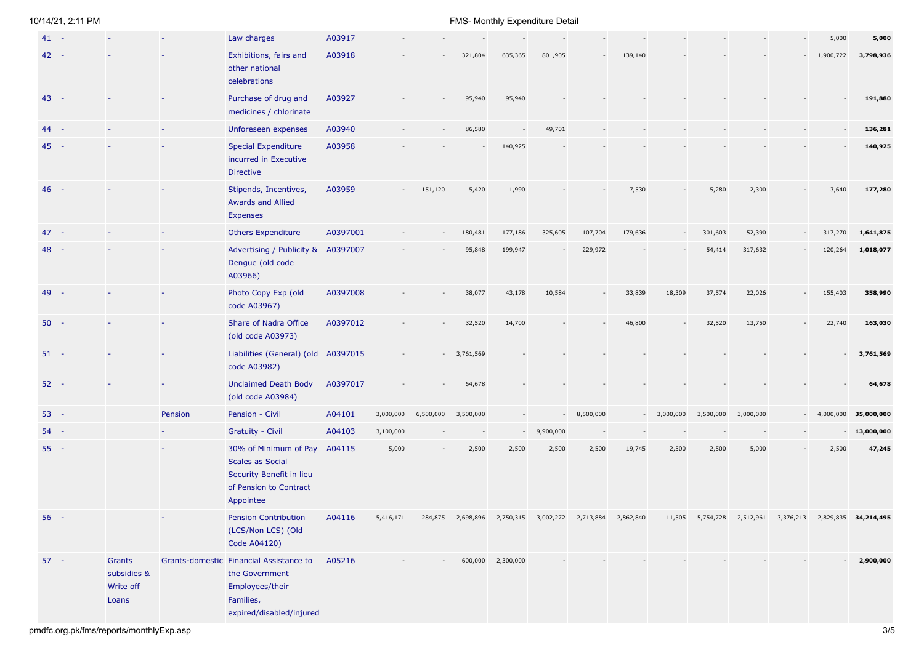|    | $41 -$ |                                             |         | Law charges                                                                                                           | A03917   |           |           |           |                   |           |           |           |                          |           |           |           | 5,000                    | 5,000                |
|----|--------|---------------------------------------------|---------|-----------------------------------------------------------------------------------------------------------------------|----------|-----------|-----------|-----------|-------------------|-----------|-----------|-----------|--------------------------|-----------|-----------|-----------|--------------------------|----------------------|
|    | $42 -$ |                                             |         | Exhibitions, fairs and<br>other national<br>celebrations                                                              | A03918   |           |           | 321,804   | 635,365           | 801,905   |           | 139,140   |                          |           |           |           | 1,900,722                | 3,798,936            |
|    | $43 -$ |                                             |         | Purchase of drug and<br>medicines / chlorinate                                                                        | A03927   |           |           | 95,940    | 95,940            |           |           |           |                          |           |           |           |                          | 191,880              |
| 44 | - 8    |                                             |         | Unforeseen expenses                                                                                                   | A03940   |           |           | 86,580    |                   | 49,701    |           |           |                          |           |           |           |                          | 136,281              |
|    | $45 -$ |                                             |         | <b>Special Expenditure</b><br>incurred in Executive<br><b>Directive</b>                                               | A03958   |           |           |           | 140,925           |           |           |           |                          |           |           |           |                          | 140,925              |
|    | $46 -$ |                                             |         | Stipends, Incentives,<br><b>Awards and Allied</b><br><b>Expenses</b>                                                  | A03959   |           | 151,120   | 5,420     | 1,990             |           |           | 7,530     |                          | 5,280     | 2,300     |           | 3,640                    | 177,280              |
|    | $47 -$ |                                             |         | <b>Others Expenditure</b>                                                                                             | A0397001 |           |           | 180,481   | 177,186           | 325,605   | 107,704   | 179,636   | $\overline{\phantom{a}}$ | 301,603   | 52,390    |           | 317,270                  | 1,641,875            |
|    | $48 -$ |                                             |         | Advertising / Publicity &<br>Dengue (old code<br>A03966)                                                              | A0397007 |           |           | 95,848    | 199,947           |           | 229,972   |           |                          | 54,414    | 317,632   |           | 120,264                  | 1,018,077            |
|    | $49 -$ |                                             |         | Photo Copy Exp (old<br>code A03967)                                                                                   | A0397008 |           |           | 38,077    | 43,178            | 10,584    |           | 33,839    | 18,309                   | 37,574    | 22,026    |           | 155,403                  | 358,990              |
|    | $50 -$ |                                             |         | Share of Nadra Office<br>(old code A03973)                                                                            | A0397012 |           |           | 32,520    | 14,700            |           |           | 46,800    |                          | 32,520    | 13,750    |           | 22,740                   | 163,030              |
|    | $51 -$ |                                             |         | Liabilities (General) (old A0397015<br>code A03982)                                                                   |          |           |           | 3,761,569 |                   |           |           |           |                          |           |           |           |                          | 3,761,569            |
|    | $52 -$ |                                             |         | <b>Unclaimed Death Body</b><br>(old code A03984)                                                                      | A0397017 |           |           | 64,678    |                   |           |           |           |                          |           |           |           |                          | 64,678               |
|    | $53 -$ |                                             | Pension | Pension - Civil                                                                                                       | A04101   | 3,000,000 | 6,500,000 | 3,500,000 |                   |           | 8,500,000 |           | $-3,000,000$             | 3,500,000 | 3,000,000 | $\sim$    | 4,000,000                | 35,000,000           |
|    | $54 -$ |                                             |         | <b>Gratuity - Civil</b>                                                                                               | A04103   | 3,100,000 |           |           | $\sim$            | 9,900,000 |           |           |                          |           |           |           | $\overline{\phantom{a}}$ | 13,000,000           |
|    | $55 -$ |                                             |         | 30% of Minimum of Pay<br><b>Scales as Social</b><br>Security Benefit in lieu<br>of Pension to Contract<br>Appointee   | A04115   | 5,000     |           | 2,500     | 2,500             | 2,500     | 2,500     | 19,745    | 2,500                    | 2,500     | 5,000     |           | 2,500                    | 47,245               |
| 56 | - 4    |                                             |         | <b>Pension Contribution</b><br>(LCS/Non LCS) (Old<br>Code A04120)                                                     | A04116   | 5,416,171 | 284,875   | 2,698,896 | 2,750,315         | 3,002,272 | 2,713,884 | 2,862,840 | 11,505                   | 5,754,728 | 2,512,961 | 3,376,213 |                          | 2,829,835 34,214,495 |
|    | $57 -$ | Grants<br>subsidies &<br>Write off<br>Loans |         | Grants-domestic Financial Assistance to<br>the Government<br>Employees/their<br>Families,<br>expired/disabled/injured | A05216   |           |           |           | 600,000 2,300,000 |           |           |           |                          |           |           |           |                          | 2,900,000            |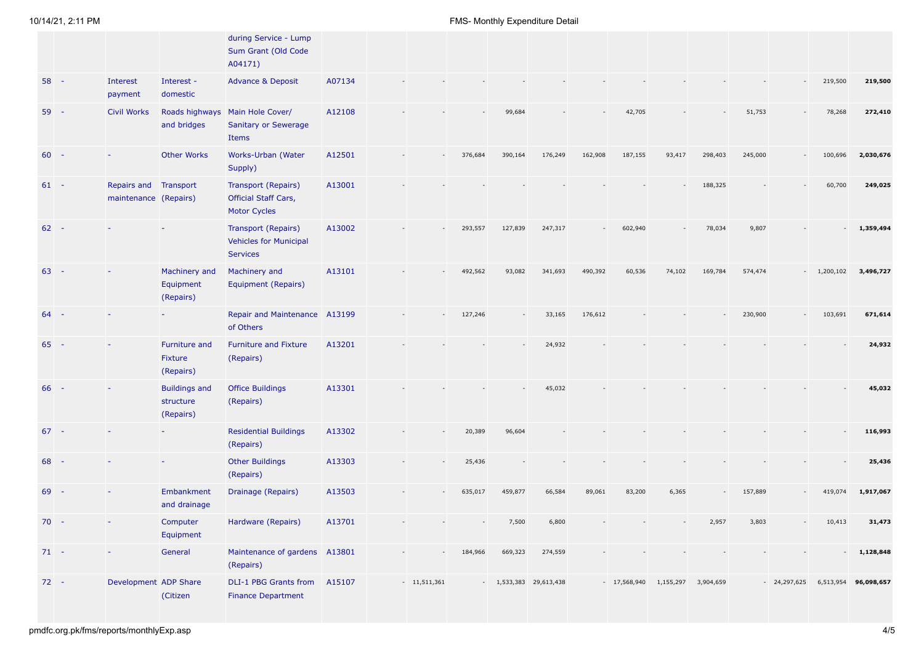|        |                                                |                                                | during Service - Lump<br>Sum Grant (Old Code<br>A04171)                   |        |               |         |                         |         |         |                                  |        |         |         |                                           |              |              |
|--------|------------------------------------------------|------------------------------------------------|---------------------------------------------------------------------------|--------|---------------|---------|-------------------------|---------|---------|----------------------------------|--------|---------|---------|-------------------------------------------|--------------|--------------|
| $58 -$ | Interest<br>payment                            | Interest -<br>domestic                         | <b>Advance &amp; Deposit</b>                                              | A07134 |               |         |                         |         |         |                                  |        |         |         |                                           | 219,500      | 219,500      |
| $59 -$ | <b>Civil Works</b>                             | Roads highways<br>and bridges                  | Main Hole Cover/<br><b>Sanitary or Sewerage</b><br>Items                  | A12108 |               |         | 99,684                  |         |         | 42,705                           |        |         | 51,753  |                                           | 78,268       | 272,410      |
| $60 -$ |                                                | <b>Other Works</b>                             | Works-Urban (Water<br>Supply)                                             | A12501 |               | 376,684 | 390,164                 | 176,249 | 162,908 | 187,155                          | 93,417 | 298,403 | 245,000 |                                           | 100,696      | 2,030,676    |
| $61 -$ | Repairs and Transport<br>maintenance (Repairs) |                                                | Transport (Repairs)<br><b>Official Staff Cars,</b><br><b>Motor Cycles</b> | A13001 |               |         |                         |         |         |                                  |        | 188,325 |         |                                           | 60,700       | 249,025      |
| $62 -$ |                                                |                                                | Transport (Repairs)<br><b>Vehicles for Municipal</b><br>Services          | A13002 |               | 293,557 | 127,839                 | 247,317 |         | 602,940                          |        | 78,034  | 9,807   |                                           |              | 1,359,494    |
| $63 -$ |                                                | Machinery and<br>Equipment<br>(Repairs)        | Machinery and<br>Equipment (Repairs)                                      | A13101 |               | 492,562 | 93,082                  | 341,693 | 490,392 | 60,536                           | 74,102 | 169,784 | 574,474 |                                           | $-1,200,102$ | 3,496,727    |
| $64 -$ |                                                |                                                | Repair and Maintenance A13199<br>of Others                                |        |               | 127,246 |                         | 33,165  | 176,612 |                                  |        |         | 230,900 | $\overline{\phantom{a}}$                  | 103,691      | 671,614      |
| $65 -$ |                                                | Furniture and<br>Fixture<br>(Repairs)          | <b>Furniture and Fixture</b><br>(Repairs)                                 | A13201 |               |         |                         | 24,932  |         |                                  |        |         |         |                                           |              | 24,932       |
| $66 -$ |                                                | <b>Buildings and</b><br>structure<br>(Repairs) | <b>Office Buildings</b><br>(Repairs)                                      | A13301 |               |         |                         | 45,032  |         |                                  |        |         |         |                                           |              | 45,032       |
| $67 -$ |                                                |                                                | <b>Residential Buildings</b><br>(Repairs)                                 | A13302 |               | 20,389  | 96,604                  |         |         |                                  |        |         |         |                                           |              | 116,993      |
| $68 -$ |                                                |                                                | <b>Other Buildings</b><br>(Repairs)                                       | A13303 |               | 25,436  |                         |         |         |                                  |        |         |         |                                           |              | 25,436       |
| $69 -$ |                                                | Embankment<br>and drainage                     | Drainage (Repairs)                                                        | A13503 |               | 635,017 | 459,877                 | 66,584  | 89,061  | 83,200                           | 6,365  |         | 157,889 |                                           | 419,074      | 1,917,067    |
| $70 -$ |                                                | Computer<br>Equipment                          | Hardware (Repairs)                                                        | A13701 |               |         | 7,500                   | 6,800   |         |                                  |        | 2,957   | 3,803   |                                           | 10,413       | 31,473       |
| $71 -$ |                                                | General                                        | Maintenance of gardens A13801<br>(Repairs)                                |        |               | 184,966 | 669,323                 | 274,559 |         |                                  |        |         |         |                                           |              | $-1,128,848$ |
| $72 -$ | Development ADP Share                          | (Citizen                                       | DLI-1 PBG Grants from A15107<br><b>Finance Department</b>                 |        | $-11,511,361$ |         | $-1,533,383$ 29,613,438 |         |         | - 17,568,940 1,155,297 3,904,659 |        |         |         | $-24,297,625$ 6,513,954 <b>96,098,657</b> |              |              |